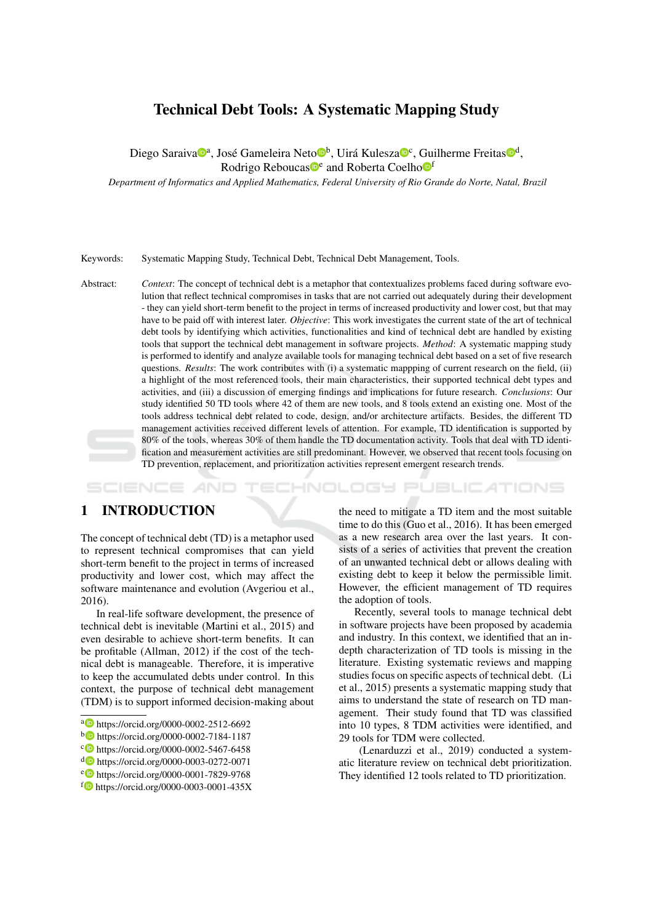# **Technical Debt Tools: A Systematic Mapping Study**

Diego Saraiva<sup>no</sup>ª, José Gameleira Neto<sup>n</sup>b, Uirá Kulesza<sup>no</sup>c, Guilherme Freitas<sup>nod</sup>, Rodrigo Reboucas<sup>to</sup> and Roberta Coelho<sup>ff</sup>

Department of Informatics and Applied Mathematics, Federal University of Rio Grande do Norte, Natal, Brazil

Keywords: Systematic Mapping Study, Technical Debt, Technical Debt Management, Tools.

Context: The concept of technical debt is a metaphor that contextualizes problems faced during software evo-Abstract: lution that reflect technical compromises in tasks that are not carried out adequately during their development - they can vield short-term benefit to the project in terms of increased productivity and lower cost, but that may have to be paid off with interest later. Objective: This work investigates the current state of the art of technical debt tools by identifying which activities, functionalities and kind of technical debt are handled by existing tools that support the technical debt management in software projects. Method: A systematic mapping study is performed to identify and analyze available tools for managing technical debt based on a set of five research questions. Results: The work contributes with (i) a systematic mappping of current research on the field, (ii) a highlight of the most referenced tools, their main characteristics, their supported technical debt types and activities, and (iii) a discussion of emerging findings and implications for future research. Conclusions: Our study identified 50 TD tools where 42 of them are new tools, and 8 tools extend an existing one. Most of the tools address technical debt related to code, design, and/or architecture artifacts. Besides, the different TD management activities received different levels of attention. For example, TD identification is supported by 80% of the tools, whereas 30% of them handle the TD documentation activity. Tools that deal with TD identification and measurement activities are still predominant. However, we observed that recent tools focusing on TD prevention, replacement, and prioritization activities represent emergent research trends.

SCIENCE HNOLOGY PUBLICATIONS

### $\mathbf{1}$ **INTRODUCTION**

The concept of technical debt (TD) is a metaphor used to represent technical compromises that can vield short-term benefit to the project in terms of increased productivity and lower cost, which may affect the software maintenance and evolution (Avgeriou et al., 2016).

In real-life software development, the presence of technical debt is inevitable (Martini et al., 2015) and even desirable to achieve short-term benefits. It can be profitable (Allman, 2012) if the cost of the technical debt is manageable. Therefore, it is imperative to keep the accumulated debts under control. In this context, the purpose of technical debt management (TDM) is to support informed decision-making about

the need to mitigate a TD item and the most suitable time to do this (Guo et al., 2016). It has been emerged as a new research area over the last years. It consists of a series of activities that prevent the creation of an unwanted technical debt or allows dealing with existing debt to keep it below the permissible limit. However, the efficient management of TD requires the adoption of tools.

Recently, several tools to manage technical debt in software projects have been proposed by academia and industry. In this context, we identified that an indepth characterization of TD tools is missing in the literature. Existing systematic reviews and mapping studies focus on specific aspects of technical debt. (Li et al., 2015) presents a systematic mapping study that aims to understand the state of research on TD management. Their study found that TD was classified into 10 types, 8 TDM activities were identified, and 29 tools for TDM were collected.

(Lenarduzzi et al., 2019) conducted a systematic literature review on technical debt prioritization. They identified 12 tools related to TD prioritization.

a b https://orcid.org/0000-0002-2512-6692

b b https://orcid.org/0000-0002-7184-1187

<sup>&</sup>lt;sup>c</sup> https://orcid.org/0000-0002-5467-6458

d b https://orcid.org/0000-0003-0272-0071

et https://orcid.org/0000-0001-7829-9768

 $f_{\bullet}$  https://orcid.org/0000-0003-0001-435X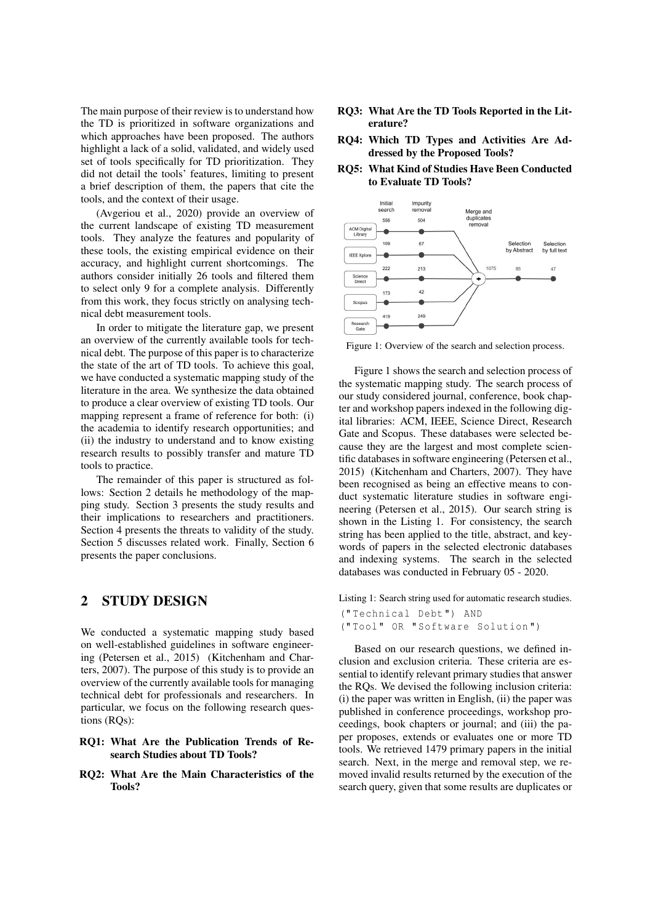The main purpose of their review is to understand how the TD is prioritized in software organizations and which approaches have been proposed. The authors highlight a lack of a solid, validated, and widely used set of tools specifically for TD prioritization. They did not detail the tools' features, limiting to present a brief description of them, the papers that cite the tools, and the context of their usage.

(Avgeriou et al., 2020) provide an overview of the current landscape of existing TD measurement tools. They analyze the features and popularity of these tools, the existing empirical evidence on their accuracy, and highlight current shortcomings. The authors consider initially 26 tools and filtered them to select only 9 for a complete analysis. Differently from this work, they focus strictly on analysing technical debt measurement tools.

In order to mitigate the literature gap, we present an overview of the currently available tools for technical debt. The purpose of this paper is to characterize the state of the art of TD tools. To achieve this goal, we have conducted a systematic mapping study of the literature in the area. We synthesize the data obtained to produce a clear overview of existing TD tools. Our mapping represent a frame of reference for both: (i) the academia to identify research opportunities; and (ii) the industry to understand and to know existing research results to possibly transfer and mature TD tools to practice.

The remainder of this paper is structured as follows: Section 2 details he methodology of the mapping study. Section 3 presents the study results and their implications to researchers and practitioners. Section 4 presents the threats to validity of the study. Section 5 discusses related work. Finally, Section 6 presents the paper conclusions.

#### $\overline{2}$ **STUDY DESIGN**

We conducted a systematic mapping study based on well-established guidelines in software engineering (Petersen et al., 2015) (Kitchenham and Charters, 2007). The purpose of this study is to provide an overview of the currently available tools for managing technical debt for professionals and researchers. In particular, we focus on the following research questions (RQs):

### RO1: What Are the Publication Trends of Research Studies about TD Tools?

RQ2: What Are the Main Characteristics of the Tools?

- RQ3: What Are the TD Tools Reported in the Literature?
- RO4: Which TD Types and Activities Are Addressed by the Proposed Tools?
- **RO5: What Kind of Studies Have Been Conducted** to Evaluate TD Tools?



Figure 1: Overview of the search and selection process.

Figure 1 shows the search and selection process of the systematic mapping study. The search process of our study considered journal, conference, book chapter and workshop papers indexed in the following digital libraries: ACM, IEEE, Science Direct, Research Gate and Scopus. These databases were selected because they are the largest and most complete scientific databases in software engineering (Petersen et al., 2015) (Kitchenham and Charters, 2007). They have been recognised as being an effective means to conduct systematic literature studies in software engineering (Petersen et al., 2015). Our search string is shown in the Listing 1. For consistency, the search string has been applied to the title, abstract, and keywords of papers in the selected electronic databases and indexing systems. The search in the selected databases was conducted in February 05 - 2020.

Listing 1: Search string used for automatic research studies.

```
("Technical Debt") AND
("Tool" OR "Software Solution")
```
Based on our research questions, we defined inclusion and exclusion criteria. These criteria are essential to identify relevant primary studies that answer the RQs. We devised the following inclusion criteria: (i) the paper was written in English, (ii) the paper was published in conference proceedings, workshop proceedings, book chapters or journal; and (iii) the paper proposes, extends or evaluates one or more TD tools. We retrieved 1479 primary papers in the initial search. Next, in the merge and removal step, we removed invalid results returned by the execution of the search query, given that some results are duplicates or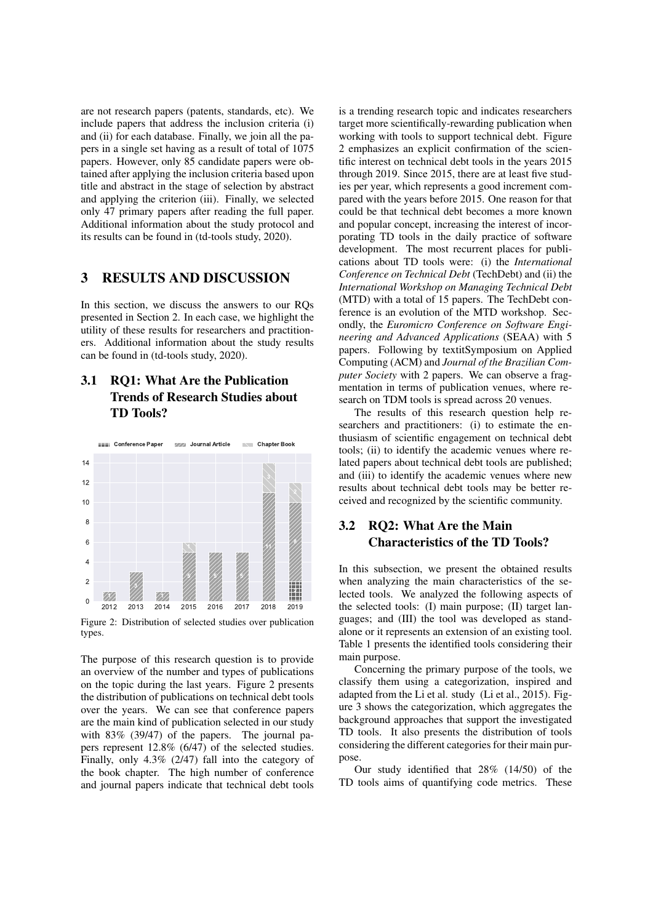are not research papers (patents, standards, etc). We include papers that address the inclusion criteria (i) and (ii) for each database. Finally, we join all the papers in a single set having as a result of total of 1075 papers. However, only 85 candidate papers were obtained after applying the inclusion criteria based upon title and abstract in the stage of selection by abstract and applying the criterion (iii). Finally, we selected only 47 primary papers after reading the full paper. Additional information about the study protocol and its results can be found in (td-tools study, 2020).

#### **RESULTS AND DISCUSSION** 3

In this section, we discuss the answers to our ROs presented in Section 2. In each case, we highlight the utility of these results for researchers and practitioners. Additional information about the study results can be found in (td-tools study, 2020).

### **RO1: What Are the Publication**  $3.1$ **Trends of Research Studies about TD Tools?**



Figure 2: Distribution of selected studies over publication types.

The purpose of this research question is to provide an overview of the number and types of publications on the topic during the last years. Figure 2 presents the distribution of publications on technical debt tools over the years. We can see that conference papers are the main kind of publication selected in our study with  $83\%$  (39/47) of the papers. The journal papers represent 12.8% (6/47) of the selected studies. Finally, only  $4.3\%$  (2/47) fall into the category of the book chapter. The high number of conference and journal papers indicate that technical debt tools is a trending research topic and indicates researchers target more scientifically-rewarding publication when working with tools to support technical debt. Figure 2 emphasizes an explicit confirmation of the scientific interest on technical debt tools in the years 2015 through 2019. Since 2015, there are at least five studies per year, which represents a good increment compared with the years before 2015. One reason for that could be that technical debt becomes a more known and popular concept, increasing the interest of incorporating TD tools in the daily practice of software development. The most recurrent places for publications about TD tools were: (i) the *International* Conference on Technical Debt (TechDebt) and (ii) the International Workshop on Managing Technical Debt (MTD) with a total of 15 papers. The TechDebt conference is an evolution of the MTD workshop. Secondly, the Euromicro Conference on Software Engineering and Advanced Applications (SEAA) with 5 papers. Following by textitSymposium on Applied Computing (ACM) and Journal of the Brazilian Com*puter Society* with 2 papers. We can observe a fragmentation in terms of publication venues, where research on TDM tools is spread across 20 venues.

The results of this research question help researchers and practitioners: (i) to estimate the enthusiasm of scientific engagement on technical debt tools; (ii) to identify the academic venues where related papers about technical debt tools are published; and (iii) to identify the academic venues where new results about technical debt tools may be better received and recognized by the scientific community.

### **RQ2: What Are the Main**  $3.2$ **Characteristics of the TD Tools?**

In this subsection, we present the obtained results when analyzing the main characteristics of the selected tools. We analyzed the following aspects of the selected tools: (I) main purpose; (II) target languages; and (III) the tool was developed as standalone or it represents an extension of an existing tool. Table 1 presents the identified tools considering their main purpose.

Concerning the primary purpose of the tools, we classify them using a categorization, inspired and adapted from the Li et al. study (Li et al., 2015). Figure 3 shows the categorization, which aggregates the background approaches that support the investigated TD tools. It also presents the distribution of tools considering the different categories for their main purpose.

Our study identified that 28% (14/50) of the TD tools aims of quantifying code metrics. These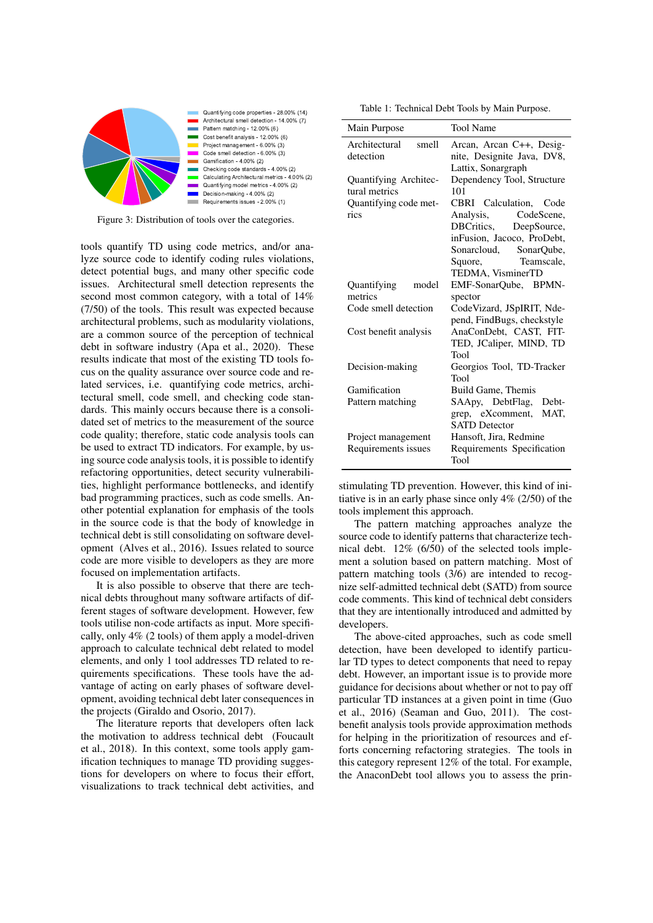

Quantifying code properties - 28.00% (14) Architectural smell detection - 14.00% (7) Pattern matching - 12.00% (6) Cost benefit analysis - 12 00% (6) Project management - 6.00% (3) Code smell detection - 6.00% (3) Gamification - 4.00% (2) Checking code standards - 4.00% (2) Calculating Architectural metrics - 4.00% (2) Quantifying model metrics - 4.00% (2) Decision-making - 4.00% (2) Requirements issues - 2.00% (1)

Figure 3: Distribution of tools over the categories.

tools quantify TD using code metrics, and/or analyze source code to identify coding rules violations. detect potential bugs, and many other specific code issues. Architectural smell detection represents the second most common category, with a total of 14%  $(7/50)$  of the tools. This result was expected because architectural problems, such as modularity violations, are a common source of the perception of technical debt in software industry (Apa et al., 2020). These results indicate that most of the existing TD tools focus on the quality assurance over source code and related services, *i.e.* quantifying code metrics, architectural smell, code smell, and checking code standards. This mainly occurs because there is a consolidated set of metrics to the measurement of the source code quality; therefore, static code analysis tools can be used to extract TD indicators. For example, by using source code analysis tools, it is possible to identify refactoring opportunities, detect security vulnerabilities, highlight performance bottlenecks, and identify bad programming practices, such as code smells. Another potential explanation for emphasis of the tools in the source code is that the body of knowledge in technical debt is still consolidating on software development (Alves et al., 2016). Issues related to source code are more visible to developers as they are more focused on implementation artifacts.

It is also possible to observe that there are technical debts throughout many software artifacts of different stages of software development. However, few tools utilise non-code artifacts as input. More specifically, only  $4\%$  (2 tools) of them apply a model-driven approach to calculate technical debt related to model elements, and only 1 tool addresses TD related to requirements specifications. These tools have the advantage of acting on early phases of software development, avoiding technical debt later consequences in the projects (Giraldo and Osorio, 2017).

The literature reports that developers often lack the motivation to address technical debt (Foucault et al., 2018). In this context, some tools apply gamification techniques to manage TD providing suggestions for developers on where to focus their effort, visualizations to track technical debt activities, and

Table 1: Technical Debt Tools by Main Purpose.

| Main Purpose                                                            | <b>Tool Name</b>                                                                                                                                                         |
|-------------------------------------------------------------------------|--------------------------------------------------------------------------------------------------------------------------------------------------------------------------|
| Architectural<br>smell<br>detection                                     | Arcan, Arcan C++, Desig-<br>nite, Designite Java, DV8,<br>Lattix, Sonargraph                                                                                             |
| Quantifying Architec-<br>tural metrics<br>Quantifying code met-<br>rics | Dependency Tool, Structure<br>101<br>CBRI Calculation, Code<br>Analysis, CodeScene,<br>DBCritics,<br>DeepSource,<br>inFusion, Jacoco, ProDebt,<br>Sonarcloud, SonarQube, |
|                                                                         | Teamscale,<br>Squore,<br>TEDMA, VisminerTD                                                                                                                               |
| Quantifying<br>model                                                    | EMF-SonarQube, BPMN-                                                                                                                                                     |
| metrics                                                                 | spector                                                                                                                                                                  |
| Code smell detection                                                    | CodeVizard, JSpIRIT, Nde-<br>pend, FindBugs, checkstyle                                                                                                                  |
| Cost benefit analysis                                                   | AnaConDebt, CAST, FIT-<br>TED, JCaliper, MIND, TD<br>Tool                                                                                                                |
| Decision-making                                                         | Georgios Tool, TD-Tracker<br>Tool                                                                                                                                        |
| Gamification                                                            | Build Game, Themis                                                                                                                                                       |
| Pattern matching                                                        | SAApy, DebtFlag,<br>Debt-                                                                                                                                                |
|                                                                         | grep, eXcomment,<br>MAT.<br><b>SATD</b> Detector                                                                                                                         |
| Project management                                                      | Hansoft, Jira, Redmine                                                                                                                                                   |
| Requirements issues                                                     | Requirements Specification<br>Tool                                                                                                                                       |

stimulating TD prevention. However, this kind of initiative is in an early phase since only  $4\%$  (2/50) of the tools implement this approach.

The pattern matching approaches analyze the source code to identify patterns that characterize technical debt.  $12\%$  (6/50) of the selected tools implement a solution based on pattern matching. Most of pattern matching tools (3/6) are intended to recognize self-admitted technical debt (SATD) from source code comments. This kind of technical debt considers that they are intentionally introduced and admitted by developers.

The above-cited approaches, such as code smell detection, have been developed to identify particular TD types to detect components that need to repay debt. However, an important issue is to provide more guidance for decisions about whether or not to pay off particular TD instances at a given point in time (Guo et al., 2016) (Seaman and Guo, 2011). The costbenefit analysis tools provide approximation methods for helping in the prioritization of resources and efforts concerning refactoring strategies. The tools in this category represent 12% of the total. For example, the AnaconDebt tool allows you to assess the prin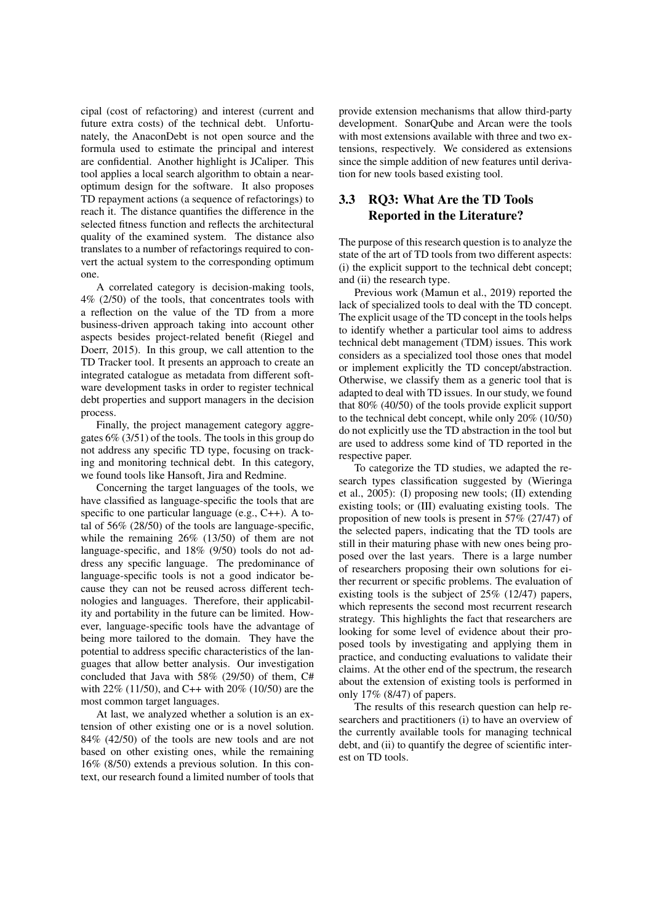cipal (cost of refactoring) and interest (current and future extra costs) of the technical debt. Unfortunately, the AnaconDebt is not open source and the formula used to estimate the principal and interest are confidential. Another highlight is JCaliper. This tool applies a local search algorithm to obtain a nearoptimum design for the software. It also proposes TD repayment actions (a sequence of refactorings) to reach it. The distance quantifies the difference in the selected fitness function and reflects the architectural quality of the examined system. The distance also translates to a number of refactorings required to convert the actual system to the corresponding optimum one.

A correlated category is decision-making tools,  $4\%$  (2/50) of the tools, that concentrates tools with a reflection on the value of the TD from a more business-driven approach taking into account other aspects besides project-related benefit (Riegel and Doerr, 2015). In this group, we call attention to the TD Tracker tool. It presents an approach to create an integrated catalogue as metadata from different software development tasks in order to register technical debt properties and support managers in the decision process.

Finally, the project management category aggregates  $6\%$  (3/51) of the tools. The tools in this group do not address any specific TD type, focusing on tracking and monitoring technical debt. In this category, we found tools like Hansoft, Jira and Redmine.

Concerning the target languages of the tools, we have classified as language-specific the tools that are specific to one particular language (e.g.,  $C++$ ). A total of  $56\%$  (28/50) of the tools are language-specific, while the remaining  $26\%$  (13/50) of them are not language-specific, and 18% (9/50) tools do not address any specific language. The predominance of language-specific tools is not a good indicator because they can not be reused across different technologies and languages. Therefore, their applicability and portability in the future can be limited. However, language-specific tools have the advantage of being more tailored to the domain. They have the potential to address specific characteristics of the languages that allow better analysis. Our investigation concluded that Java with 58% (29/50) of them, C# with 22% (11/50), and C++ with 20% (10/50) are the most common target languages.

At last, we analyzed whether a solution is an extension of other existing one or is a novel solution.  $84\%$  (42/50) of the tools are new tools and are not based on other existing ones, while the remaining  $16\%$  (8/50) extends a previous solution. In this context, our research found a limited number of tools that

provide extension mechanisms that allow third-party development. SonarQube and Arcan were the tools with most extensions available with three and two extensions, respectively. We considered as extensions since the simple addition of new features until derivation for new tools based existing tool.

## 3.3 RO3: What Are the TD Tools **Reported in the Literature?**

The purpose of this research question is to analyze the state of the art of TD tools from two different aspects: (i) the explicit support to the technical debt concept; and (ii) the research type.

Previous work (Mamun et al., 2019) reported the lack of specialized tools to deal with the TD concept. The explicit usage of the TD concept in the tools helps to identify whether a particular tool aims to address technical debt management (TDM) issues. This work considers as a specialized tool those ones that model or implement explicitly the TD concept/abstraction. Otherwise, we classify them as a generic tool that is adapted to deal with TD issues. In our study, we found that  $80\%$  (40/50) of the tools provide explicit support to the technical debt concept, while only  $20\%$  (10/50) do not explicitly use the TD abstraction in the tool but are used to address some kind of TD reported in the respective paper.

To categorize the TD studies, we adapted the research types classification suggested by (Wieringa et al., 2005): (I) proposing new tools; (II) extending existing tools; or (III) evaluating existing tools. The proposition of new tools is present in  $57\%$  (27/47) of the selected papers, indicating that the TD tools are still in their maturing phase with new ones being proposed over the last years. There is a large number of researchers proposing their own solutions for either recurrent or specific problems. The evaluation of existing tools is the subject of  $25\%$  (12/47) papers, which represents the second most recurrent research strategy. This highlights the fact that researchers are looking for some level of evidence about their proposed tools by investigating and applying them in practice, and conducting evaluations to validate their claims. At the other end of the spectrum, the research about the extension of existing tools is performed in only  $17\%$  (8/47) of papers.

The results of this research question can help researchers and practitioners (i) to have an overview of the currently available tools for managing technical debt, and (ii) to quantify the degree of scientific interest on TD tools.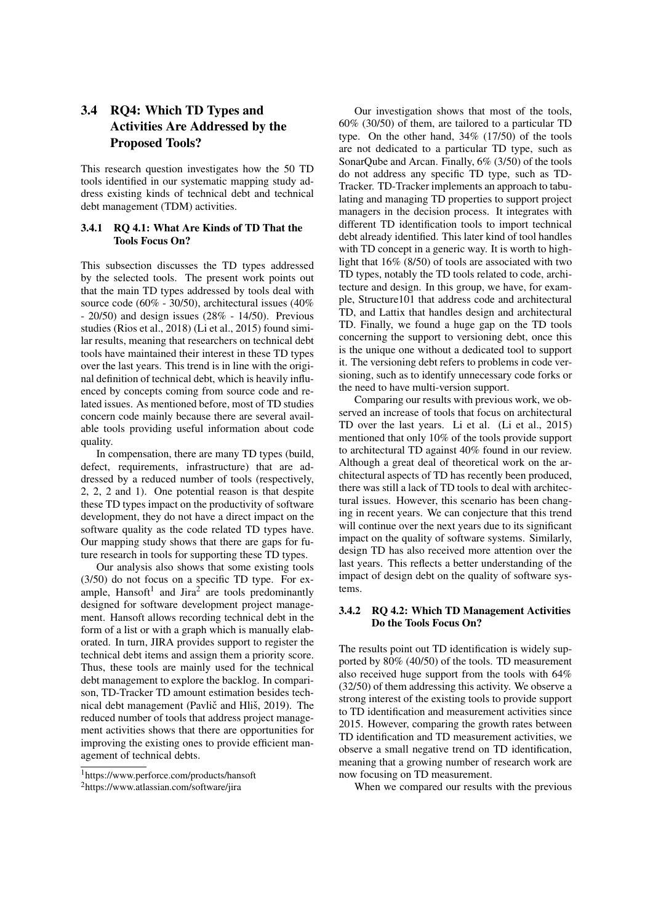## 3.4 RQ4: Which TD Types and **Activities Are Addressed by the Proposed Tools?**

This research question investigates how the 50 TD tools identified in our systematic mapping study address existing kinds of technical debt and technical debt management (TDM) activities.

### 3.4.1 RO 4.1: What Are Kinds of TD That the **Tools Focus On?**

This subsection discusses the TD types addressed by the selected tools. The present work points out that the main TD types addressed by tools deal with source code (60% - 30/50), architectural issues (40%) - 20/50) and design issues  $(28\% - 14/50)$ . Previous studies (Rios et al., 2018) (Li et al., 2015) found similar results, meaning that researchers on technical debt tools have maintained their interest in these TD types over the last years. This trend is in line with the original definition of technical debt, which is heavily influenced by concepts coming from source code and related issues. As mentioned before, most of TD studies concern code mainly because there are several available tools providing useful information about code quality.

In compensation, there are many TD types (build, defect, requirements, infrastructure) that are addressed by a reduced number of tools (respectively, 2, 2, 2 and 1). One potential reason is that despite these TD types impact on the productivity of software development, they do not have a direct impact on the software quality as the code related TD types have. Our mapping study shows that there are gaps for future research in tools for supporting these TD types.

Our analysis also shows that some existing tools (3/50) do not focus on a specific TD type. For example, Hansoft<sup>1</sup> and Jira<sup>2</sup> are tools predominantly designed for software development project management. Hansoft allows recording technical debt in the form of a list or with a graph which is manually elaborated. In turn, JIRA provides support to register the technical debt items and assign them a priority score. Thus, these tools are mainly used for the technical debt management to explore the backlog. In comparison, TD-Tracker TD amount estimation besides technical debt management (Pavlič and Hliš, 2019). The reduced number of tools that address project management activities shows that there are opportunities for improving the existing ones to provide efficient management of technical debts.

Our investigation shows that most of the tools,  $60\%$  (30/50) of them, are tailored to a particular TD type. On the other hand, 34% (17/50) of the tools are not dedicated to a particular TD type, such as SonarQube and Arcan. Finally, 6% (3/50) of the tools do not address any specific TD type, such as TD-Tracker. TD-Tracker implements an approach to tabulating and managing TD properties to support project managers in the decision process. It integrates with different TD identification tools to import technical debt already identified. This later kind of tool handles with TD concept in a generic way. It is worth to highlight that  $16\%$  (8/50) of tools are associated with two TD types, notably the TD tools related to code, architecture and design. In this group, we have, for example, Structure101 that address code and architectural TD, and Lattix that handles design and architectural TD. Finally, we found a huge gap on the TD tools concerning the support to versioning debt, once this is the unique one without a dedicated tool to support it. The versioning debt refers to problems in code versioning, such as to identify unnecessary code forks or the need to have multi-version support.

Comparing our results with previous work, we observed an increase of tools that focus on architectural TD over the last years. Li et al. (Li et al., 2015) mentioned that only 10% of the tools provide support to architectural TD against 40% found in our review. Although a great deal of theoretical work on the architectural aspects of TD has recently been produced, there was still a lack of TD tools to deal with architectural issues. However, this scenario has been changing in recent years. We can conjecture that this trend will continue over the next years due to its significant impact on the quality of software systems. Similarly, design TD has also received more attention over the last years. This reflects a better understanding of the impact of design debt on the quality of software systems

## 3.4.2 RQ 4.2: Which TD Management Activities Do the Tools Focus On?

The results point out TD identification is widely supported by 80% (40/50) of the tools. TD measurement also received huge support from the tools with  $64\%$ (32/50) of them addressing this activity. We observe a strong interest of the existing tools to provide support to TD identification and measurement activities since 2015. However, comparing the growth rates between TD identification and TD measurement activities, we observe a small negative trend on TD identification, meaning that a growing number of research work are now focusing on TD measurement.

When we compared our results with the previous

<sup>&</sup>lt;sup>1</sup>https://www.perforce.com/products/hansoft

<sup>&</sup>lt;sup>2</sup>https://www.atlassian.com/software/jira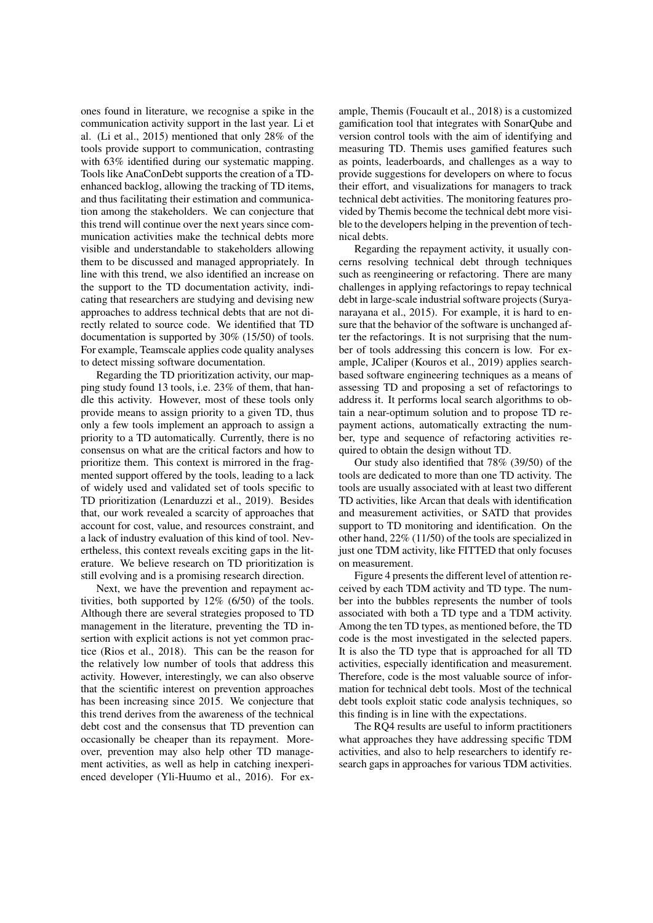ones found in literature, we recognise a spike in the communication activity support in the last year. Li et al. (Li et al., 2015) mentioned that only 28% of the tools provide support to communication, contrasting with 63% identified during our systematic mapping. Tools like AnaConDebt supports the creation of a TDenhanced backlog, allowing the tracking of TD items, and thus facilitating their estimation and communication among the stakeholders. We can conjecture that this trend will continue over the next years since communication activities make the technical debts more visible and understandable to stakeholders allowing them to be discussed and managed appropriately. In line with this trend, we also identified an increase on the support to the TD documentation activity, indicating that researchers are studying and devising new approaches to address technical debts that are not directly related to source code. We identified that TD documentation is supported by  $30\%$  (15/50) of tools. For example, Teamscale applies code quality analyses to detect missing software documentation.

Regarding the TD prioritization activity, our mapping study found 13 tools, i.e. 23% of them, that handle this activity. However, most of these tools only provide means to assign priority to a given TD, thus only a few tools implement an approach to assign a priority to a TD automatically. Currently, there is no consensus on what are the critical factors and how to prioritize them. This context is mirrored in the fragmented support offered by the tools, leading to a lack of widely used and validated set of tools specific to TD prioritization (Lenarduzzi et al., 2019). Besides that, our work revealed a scarcity of approaches that account for cost, value, and resources constraint, and a lack of industry evaluation of this kind of tool. Nevertheless, this context reveals exciting gaps in the literature. We believe research on TD prioritization is still evolving and is a promising research direction.

Next, we have the prevention and repayment activities, both supported by  $12\%$  (6/50) of the tools. Although there are several strategies proposed to TD management in the literature, preventing the TD insertion with explicit actions is not yet common practice (Rios et al., 2018). This can be the reason for the relatively low number of tools that address this activity. However, interestingly, we can also observe that the scientific interest on prevention approaches has been increasing since 2015. We conjecture that this trend derives from the awareness of the technical debt cost and the consensus that TD prevention can occasionally be cheaper than its repayment. Moreover, prevention may also help other TD management activities, as well as help in catching inexperienced developer (Yli-Huumo et al., 2016). For example, Themis (Foucault et al., 2018) is a customized gamification tool that integrates with SonarQube and version control tools with the aim of identifying and measuring TD. Themis uses gamified features such as points, leaderboards, and challenges as a way to provide suggestions for developers on where to focus their effort, and visualizations for managers to track technical debt activities. The monitoring features provided by Themis become the technical debt more visible to the developers helping in the prevention of technical debts.

Regarding the repayment activity, it usually concerns resolving technical debt through techniques such as reengineering or refactoring. There are many challenges in applying refactorings to repay technical debt in large-scale industrial software projects (Suryanarayana et al., 2015). For example, it is hard to ensure that the behavior of the software is unchanged after the refactorings. It is not surprising that the number of tools addressing this concern is low. For example, JCaliper (Kouros et al., 2019) applies searchbased software engineering techniques as a means of assessing TD and proposing a set of refactorings to address it. It performs local search algorithms to obtain a near-optimum solution and to propose TD repayment actions, automatically extracting the number, type and sequence of refactoring activities required to obtain the design without TD.

Our study also identified that 78% (39/50) of the tools are dedicated to more than one TD activity. The tools are usually associated with at least two different TD activities, like Arcan that deals with identification and measurement activities, or SATD that provides support to TD monitoring and identification. On the other hand,  $22\%$  (11/50) of the tools are specialized in just one TDM activity, like FITTED that only focuses on measurement

Figure 4 presents the different level of attention received by each TDM activity and TD type. The number into the bubbles represents the number of tools associated with both a TD type and a TDM activity. Among the ten TD types, as mentioned before, the TD code is the most investigated in the selected papers. It is also the TD type that is approached for all TD activities, especially identification and measurement. Therefore, code is the most valuable source of information for technical debt tools. Most of the technical debt tools exploit static code analysis techniques, so this finding is in line with the expectations.

The RQ4 results are useful to inform practitioners what approaches they have addressing specific TDM activities, and also to help researchers to identify research gaps in approaches for various TDM activities.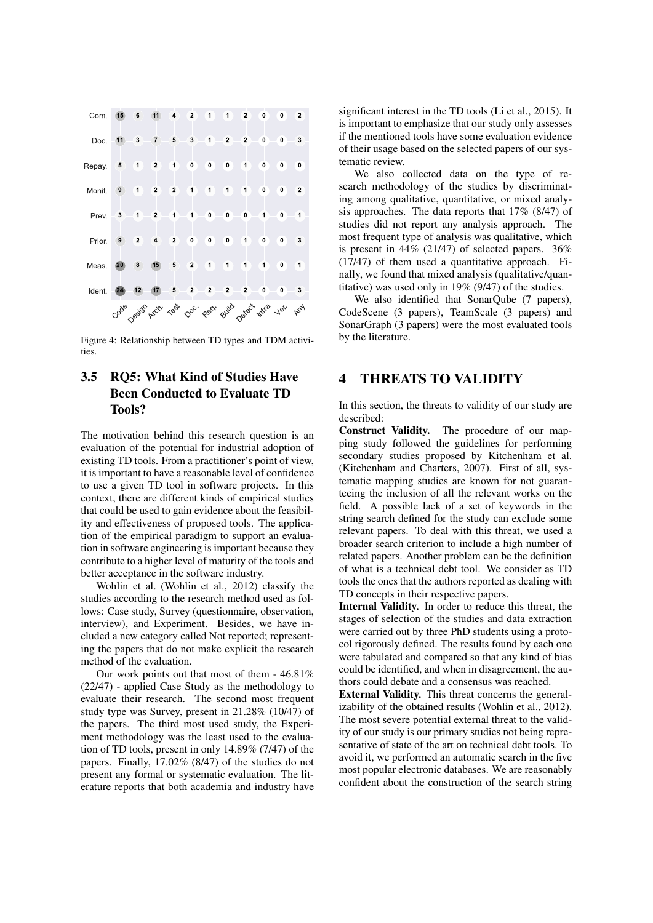

Figure 4: Relationship between TD types and TDM activities.

### **RQ5: What Kind of Studies Have**  $3.5$ **Been Conducted to Evaluate TD Tools?**

The motivation behind this research question is an evaluation of the potential for industrial adoption of existing TD tools. From a practitioner's point of view, it is important to have a reasonable level of confidence to use a given TD tool in software projects. In this context, there are different kinds of empirical studies that could be used to gain evidence about the feasibility and effectiveness of proposed tools. The application of the empirical paradigm to support an evaluation in software engineering is important because they contribute to a higher level of maturity of the tools and better acceptance in the software industry.

Wohlin et al. (Wohlin et al., 2012) classify the studies according to the research method used as follows: Case study, Survey (questionnaire, observation, interview), and Experiment. Besides, we have included a new category called Not reported; representing the papers that do not make explicit the research method of the evaluation.

Our work points out that most of them  $-46.81\%$ (22/47) - applied Case Study as the methodology to evaluate their research. The second most frequent study type was Survey, present in 21.28% (10/47) of the papers. The third most used study, the Experiment methodology was the least used to the evaluation of TD tools, present in only 14.89% (7/47) of the papers. Finally,  $17.02\%$  (8/47) of the studies do not present any formal or systematic evaluation. The literature reports that both academia and industry have significant interest in the TD tools (Li et al., 2015). It is important to emphasize that our study only assesses if the mentioned tools have some evaluation evidence of their usage based on the selected papers of our systematic review.

We also collected data on the type of research methodology of the studies by discriminating among qualitative, quantitative, or mixed analysis approaches. The data reports that  $17\%$  (8/47) of studies did not report any analysis approach. The most frequent type of analysis was qualitative, which is present in  $44\%$  (21/47) of selected papers. 36%  $(17/47)$  of them used a quantitative approach. Finally, we found that mixed analysis (qualitative/quantitative) was used only in 19% (9/47) of the studies.

We also identified that SonarQube (7 papers), CodeScene (3 papers), TeamScale (3 papers) and SonarGraph (3 papers) were the most evaluated tools by the literature.

### **THREATS TO VALIDITY**  $\overline{\mathbf{4}}$

In this section, the threats to validity of our study are described:

**Construct Validity.** The procedure of our mapping study followed the guidelines for performing secondary studies proposed by Kitchenham et al. (Kitchenham and Charters, 2007). First of all, systematic mapping studies are known for not guaranteeing the inclusion of all the relevant works on the field. A possible lack of a set of keywords in the string search defined for the study can exclude some relevant papers. To deal with this threat, we used a broader search criterion to include a high number of related papers. Another problem can be the definition of what is a technical debt tool. We consider as TD tools the ones that the authors reported as dealing with TD concepts in their respective papers.

Internal Validity. In order to reduce this threat, the stages of selection of the studies and data extraction were carried out by three PhD students using a protocol rigorously defined. The results found by each one were tabulated and compared so that any kind of bias could be identified, and when in disagreement, the authors could debate and a consensus was reached.

External Validity. This threat concerns the generalizability of the obtained results (Wohlin et al., 2012). The most severe potential external threat to the validity of our study is our primary studies not being representative of state of the art on technical debt tools. To avoid it, we performed an automatic search in the five most popular electronic databases. We are reasonably confident about the construction of the search string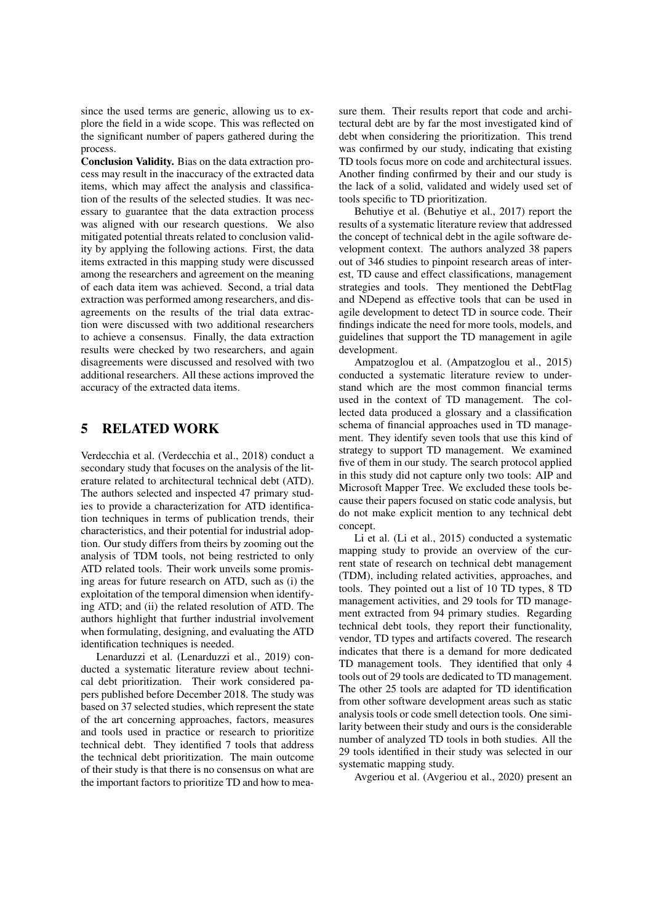since the used terms are generic, allowing us to explore the field in a wide scope. This was reflected on the significant number of papers gathered during the process.

Conclusion Validity. Bias on the data extraction process may result in the inaccuracy of the extracted data items, which may affect the analysis and classification of the results of the selected studies. It was necessary to guarantee that the data extraction process was aligned with our research questions. We also mitigated potential threats related to conclusion validity by applying the following actions. First, the data items extracted in this mapping study were discussed among the researchers and agreement on the meaning of each data item was achieved. Second, a trial data extraction was performed among researchers, and disagreements on the results of the trial data extraction were discussed with two additional researchers to achieve a consensus. Finally, the data extraction results were checked by two researchers, and again disagreements were discussed and resolved with two additional researchers. All these actions improved the accuracy of the extracted data items.

#### **RELATED WORK** 5

Verdecchia et al. (Verdecchia et al., 2018) conduct a secondary study that focuses on the analysis of the literature related to architectural technical debt (ATD). The authors selected and inspected 47 primary studies to provide a characterization for ATD identification techniques in terms of publication trends, their characteristics, and their potential for industrial adoption. Our study differs from theirs by zooming out the analysis of TDM tools, not being restricted to only ATD related tools. Their work unveils some promising areas for future research on ATD, such as (i) the exploitation of the temporal dimension when identifying ATD; and (ii) the related resolution of ATD. The authors highlight that further industrial involvement when formulating, designing, and evaluating the ATD identification techniques is needed.

Lenarduzzi et al. (Lenarduzzi et al., 2019) conducted a systematic literature review about technical debt prioritization. Their work considered papers published before December 2018. The study was based on 37 selected studies, which represent the state of the art concerning approaches, factors, measures and tools used in practice or research to prioritize technical debt. They identified 7 tools that address the technical debt prioritization. The main outcome of their study is that there is no consensus on what are the important factors to prioritize TD and how to mea-

sure them. Their results report that code and architectural debt are by far the most investigated kind of debt when considering the prioritization. This trend was confirmed by our study, indicating that existing TD tools focus more on code and architectural issues. Another finding confirmed by their and our study is the lack of a solid, validated and widely used set of tools specific to TD prioritization.

Behutiye et al. (Behutiye et al., 2017) report the results of a systematic literature review that addressed the concept of technical debt in the agile software development context. The authors analyzed 38 papers out of 346 studies to pinpoint research areas of interest, TD cause and effect classifications, management strategies and tools. They mentioned the DebtFlag and NDepend as effective tools that can be used in agile development to detect TD in source code. Their findings indicate the need for more tools, models, and guidelines that support the TD management in agile development.

Ampatzoglou et al. (Ampatzoglou et al., 2015) conducted a systematic literature review to understand which are the most common financial terms used in the context of TD management. The collected data produced a glossary and a classification schema of financial approaches used in TD management. They identify seven tools that use this kind of strategy to support TD management. We examined five of them in our study. The search protocol applied in this study did not capture only two tools: AIP and Microsoft Mapper Tree. We excluded these tools because their papers focused on static code analysis, but do not make explicit mention to any technical debt concept.

Li et al. (Li et al., 2015) conducted a systematic mapping study to provide an overview of the current state of research on technical debt management (TDM), including related activities, approaches, and tools. They pointed out a list of 10 TD types, 8 TD management activities, and 29 tools for TD management extracted from 94 primary studies. Regarding technical debt tools, they report their functionality, vendor, TD types and artifacts covered. The research indicates that there is a demand for more dedicated TD management tools. They identified that only 4 tools out of 29 tools are dedicated to TD management. The other 25 tools are adapted for TD identification from other software development areas such as static analysis tools or code smell detection tools. One similarity between their study and ours is the considerable number of analyzed TD tools in both studies. All the 29 tools identified in their study was selected in our systematic mapping study.

Avgeriou et al. (Avgeriou et al., 2020) present an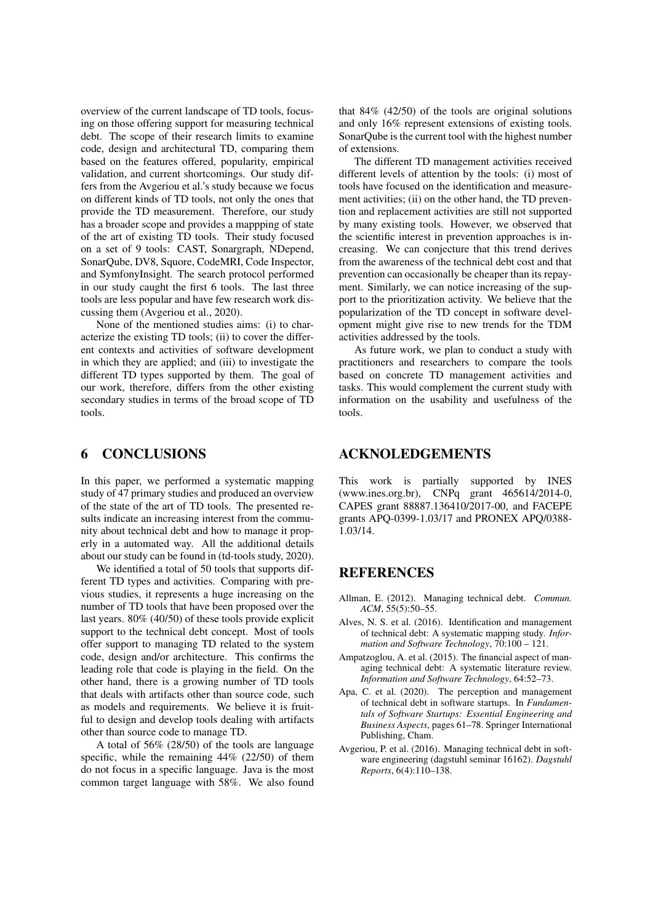overview of the current landscape of TD tools, focusing on those offering support for measuring technical debt. The scope of their research limits to examine code, design and architectural TD, comparing them based on the features offered, popularity, empirical validation, and current shortcomings. Our study differs from the Avgeriou et al.'s study because we focus on different kinds of TD tools, not only the ones that provide the TD measurement. Therefore, our study has a broader scope and provides a mappping of state of the art of existing TD tools. Their study focused on a set of 9 tools: CAST, Sonargraph, NDepend, SonarOube, DV8, Squore, CodeMRI, Code Inspector, and SymfonyInsight. The search protocol performed in our study caught the first 6 tools. The last three tools are less popular and have few research work discussing them (Avgeriou et al., 2020).

None of the mentioned studies aims: (i) to characterize the existing TD tools; (ii) to cover the different contexts and activities of software development in which they are applied; and (iii) to investigate the different TD types supported by them. The goal of our work, therefore, differs from the other existing secondary studies in terms of the broad scope of TD tools.

#### **CONCLUSIONS** 6

In this paper, we performed a systematic mapping study of 47 primary studies and produced an overview of the state of the art of TD tools. The presented results indicate an increasing interest from the community about technical debt and how to manage it properly in a automated way. All the additional details about our study can be found in (td-tools study, 2020).

We identified a total of 50 tools that supports different TD types and activities. Comparing with previous studies, it represents a huge increasing on the number of TD tools that have been proposed over the last years.  $80\%$  (40/50) of these tools provide explicit support to the technical debt concept. Most of tools offer support to managing TD related to the system code, design and/or architecture. This confirms the leading role that code is playing in the field. On the other hand, there is a growing number of TD tools that deals with artifacts other than source code, such as models and requirements. We believe it is fruitful to design and develop tools dealing with artifacts other than source code to manage TD.

A total of  $56\%$  (28/50) of the tools are language specific, while the remaining  $44\%$  (22/50) of them do not focus in a specific language. Java is the most common target language with 58%. We also found

that  $84\%$  (42/50) of the tools are original solutions and only 16% represent extensions of existing tools. SonarQube is the current tool with the highest number of extensions.

The different TD management activities received different levels of attention by the tools: (i) most of tools have focused on the identification and measurement activities; (ii) on the other hand, the TD prevention and replacement activities are still not supported by many existing tools. However, we observed that the scientific interest in prevention approaches is increasing. We can conjecture that this trend derives from the awareness of the technical debt cost and that prevention can occasionally be cheaper than its repayment. Similarly, we can notice increasing of the support to the prioritization activity. We believe that the popularization of the TD concept in software development might give rise to new trends for the TDM activities addressed by the tools.

As future work, we plan to conduct a study with practitioners and researchers to compare the tools based on concrete TD management activities and tasks. This would complement the current study with information on the usability and usefulness of the tools.

## **ACKNOLEDGEMENTS**

This work is partially supported by INES (www.ines.org.br), CNPq grant 465614/2014-0, CAPES grant 88887.136410/2017-00, and FACEPE grants APQ-0399-1.03/17 and PRONEX APQ/0388-1.03/14.

## **REFERENCES**

- Allman, E. (2012). Managing technical debt. Commun.  $ACM$ , 55(5):50-55.
- Alves, N. S. et al. (2016). Identification and management of technical debt: A systematic mapping study. Information and Software Technology,  $70:100 - 121$ .
- Ampatzoglou, A. et al. (2015). The financial aspect of managing technical debt: A systematic literature review. Information and Software Technology, 64:52-73.
- Apa, C. et al. (2020). The perception and management of technical debt in software startups. In Fundamentals of Software Startups: Essential Engineering and Business Aspects, pages 61-78. Springer International Publishing, Cham.
- Avgeriou, P. et al. (2016). Managing technical debt in software engineering (dagstuhl seminar 16162). Dagstuhl Reports, 6(4):110-138.